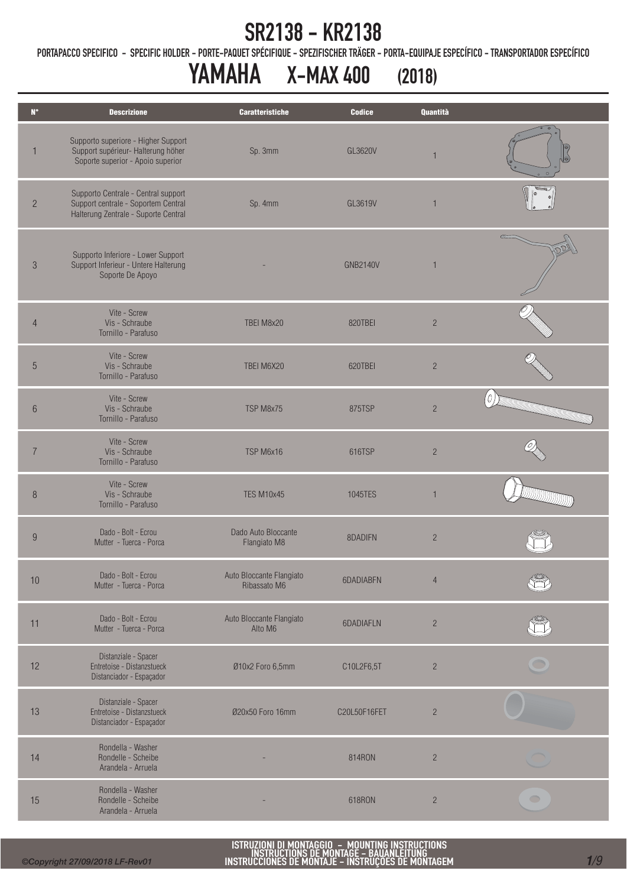PORTAPACCO SPECIFICO - SPECIFIC HOLDER - PORTE-PAQUET SPÉCIFIQUE - SPEZIFISCHER TRÄGER - PORTA-EQUIPAJE ESPECÍFICO - TRANSPORTADOR ESPECÍFICO

# YAMAHA X-MAX 400 (2018)

| $N^{\circ}$    | <b>Descrizione</b>                                                                                                 | <b>Caratteristiche</b>                   | <b>Codice</b>   | <b>Quantità</b> |                                                      |
|----------------|--------------------------------------------------------------------------------------------------------------------|------------------------------------------|-----------------|-----------------|------------------------------------------------------|
| 1              | Supporto superiore - Higher Support<br>Support supérieur- Halterung höher<br>Soporte superior - Apoio superior     | Sp. 3mm                                  | GL3620V         |                 |                                                      |
| $\overline{c}$ | Supporto Centrale - Central support<br>Support centrale - Soportem Central<br>Halterung Zentrale - Suporte Central | Sp. 4mm                                  | GL3619V         | $\mathbf{1}$    |                                                      |
| 3              | Supporto Inferiore - Lower Support<br>Support Inferieur - Untere Halterung<br>Soporte De Apoyo                     |                                          | <b>GNB2140V</b> | 1               |                                                      |
| $\overline{4}$ | Vite - Screw<br>Vis - Schraube<br>Tornillo - Parafuso                                                              | TBEI M8x20                               | 820TBEI         | $\overline{c}$  |                                                      |
| $\overline{5}$ | Vite - Screw<br>Vis - Schraube<br>Tornillo - Parafuso                                                              | TBEI M6X20                               | 620TBEI         | $\overline{2}$  |                                                      |
| 6              | Vite - Screw<br>Vis - Schraube<br>Tornillo - Parafuso                                                              | TSP M8x75                                | 875TSP          | $\overline{c}$  | Ъ,<br><b>REGISTER OF THE CONFIDENTIAL CONFIDENTI</b> |
|                | Vite - Screw<br>Vis - Schraube<br>Tornillo - Parafuso                                                              | TSP M6x16                                | 616TSP          | $\overline{c}$  |                                                      |
| 8              | Vite - Screw<br>Vis - Schraube<br>Tornillo - Parafuso                                                              | <b>TES M10x45</b>                        | 1045TES         | $\mathbf{1}$    |                                                      |
| 9              | Dado - Bolt - Ecrou<br>Mutter - Tuerca - Porca                                                                     | Dado Auto Bloccante<br>Flangiato M8      | 8DADIFN         | $\overline{2}$  |                                                      |
| 10             | Dado - Bolt - Ecrou<br>Mutter - Tuerca - Porca                                                                     | Auto Bloccante Flangiato<br>Ribassato M6 | 6DADIABFN       | $\overline{4}$  |                                                      |
| 11             | Dado - Bolt - Ecrou<br>Mutter - Tuerca - Porca                                                                     | Auto Bloccante Flangiato<br>Alto M6      | 6DADIAFLN       | $\overline{c}$  |                                                      |
| 12             | Distanziale - Spacer<br>Entretoise - Distanzstueck<br>Distanciador - Espaçador                                     | Ø10x2 Foro 6,5mm                         | C10L2F6,5T      | $\overline{c}$  |                                                      |
| 13             | Distanziale - Spacer<br>Entretoise - Distanzstueck<br>Distanciador - Espaçador                                     | Ø20x50 Foro 16mm                         | C20L50F16FET    | $\overline{c}$  |                                                      |
| 14             | Rondella - Washer<br>Rondelle - Scheibe<br>Arandela - Arruela                                                      |                                          | 814RON          | $\sqrt{2}$      |                                                      |
| 15             | Rondella - Washer<br>Rondelle - Scheibe<br>Arandela - Arruela                                                      |                                          | 618RON          | $\overline{c}$  | $\bigcirc$                                           |

Ī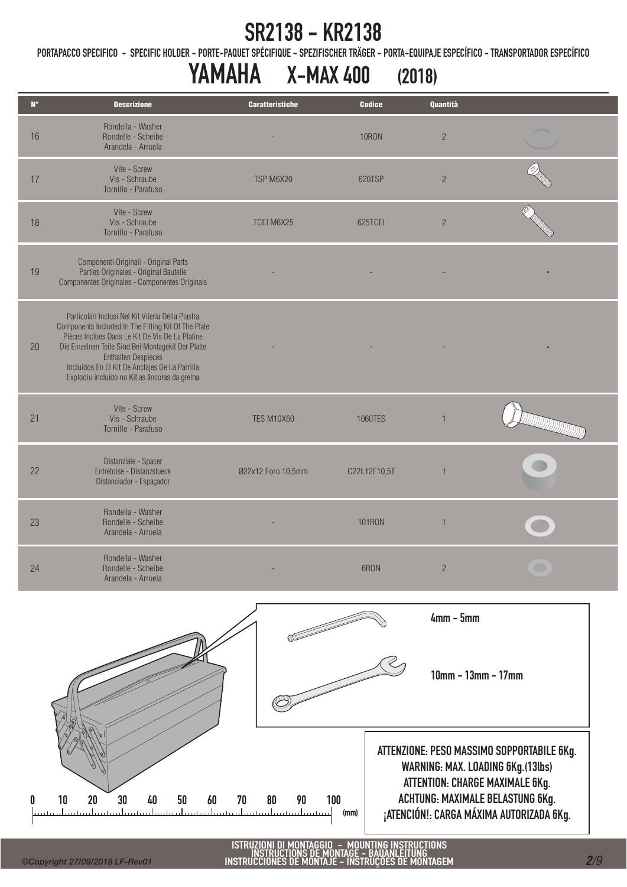PORTAPACCO SPECIFICO - SPECIFIC HOLDER - PORTE-PAQUET SPÉCIFIQUE - SPEZIFISCHER TRÄGER - PORTA-EQUIPAJE ESPECÍFICO - TRANSPORTADOR ESPECÍFICO

# YAMAHA X-MAX 400 (2018)

| $\mathbf{N}^{\circ}$ | <b>Descrizione</b>                                                                                                                                                                                                                                                                                                                                 | <b>Caratteristiche</b> | <b>Codice</b> | Quantità       |                                                                                                            |
|----------------------|----------------------------------------------------------------------------------------------------------------------------------------------------------------------------------------------------------------------------------------------------------------------------------------------------------------------------------------------------|------------------------|---------------|----------------|------------------------------------------------------------------------------------------------------------|
| 16                   | Rondella - Washer<br>Rondelle - Scheibe<br>Arandela - Arruela                                                                                                                                                                                                                                                                                      |                        | <b>10RON</b>  | $\overline{c}$ |                                                                                                            |
| 17                   | Vite - Screw<br>Vis - Schraube<br>Tornillo - Parafuso                                                                                                                                                                                                                                                                                              | TSP M6X20              | 620TSP        | $\overline{2}$ |                                                                                                            |
| 18                   | Vite - Screw<br>Vis - Schraube<br>Tornillo - Parafuso                                                                                                                                                                                                                                                                                              | TCEI M6X25             | 625TCEI       | $\overline{c}$ |                                                                                                            |
| 19                   | Componenti Originali - Original Parts<br>Parties Originales - Original Bauteile<br>Componentes Originales - Componentes Originais                                                                                                                                                                                                                  |                        |               |                |                                                                                                            |
| 20                   | Particolari Inclusi Nel Kit Viteria Della Piastra<br>Components Included In The Fitting Kit Of The Plate<br>Pièces Inclues Dans Le Kit De Vis De La Platine<br>Die Einzelnen Teile Sind Bei Montagekit Der Platte<br><b>Enthalten Despieces</b><br>Incluidos En El Kit De Anclajes De La Parrilla<br>Explodiu incluído no Kit as âncoras da grelha |                        |               |                |                                                                                                            |
| 21                   | Vite - Screw<br>Vis - Schraube<br>Tornillo - Parafuso                                                                                                                                                                                                                                                                                              | <b>TES M10X60</b>      | 1060TES       | $\mathbf{1}$   | <b>DESCRIPTION OF THE USE OF THE USE OF THE USE OF THE USE OF THE USE OF THE USE OF THE USE OF THE USE</b> |
| 22                   | Distanziale - Spacer<br>Entretoise - Distanzstueck<br>Distanciador - Espaçador                                                                                                                                                                                                                                                                     | Ø22x12 Foro 10,5mm     | C22L12F10,5T  | $\mathbf{1}$   |                                                                                                            |
| 23                   | Rondella - Washer<br>Rondelle - Scheibe<br>Arandela - Arruela                                                                                                                                                                                                                                                                                      |                        | <b>101RON</b> | $\mathbf{1}$   |                                                                                                            |
| 24                   | Rondella - Washer<br>Rondelle - Scheibe<br>Arandela - Arruela                                                                                                                                                                                                                                                                                      |                        | 6RON          | $\overline{c}$ |                                                                                                            |
|                      |                                                                                                                                                                                                                                                                                                                                                    |                        |               |                |                                                                                                            |



Ī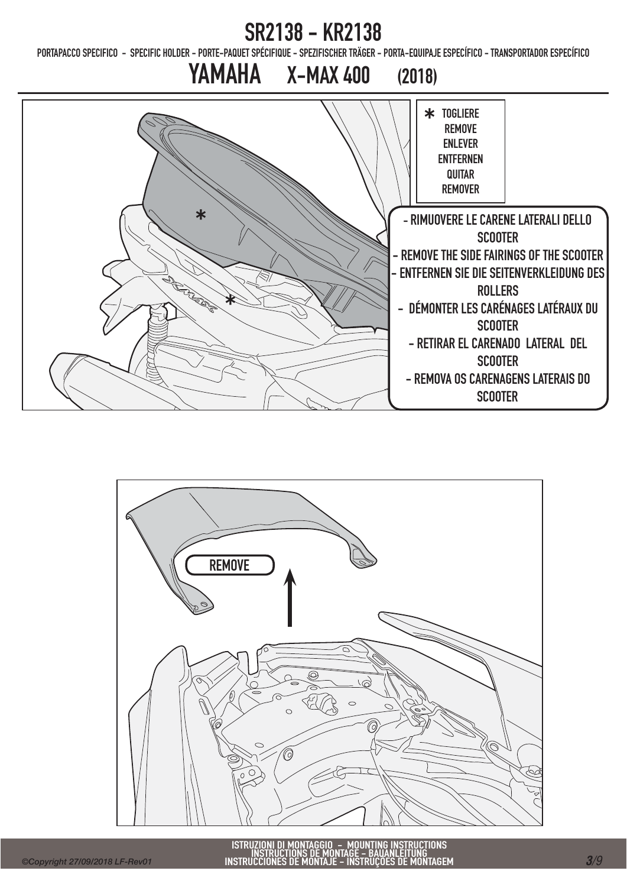PORTAPACCO SPECIFICO - SPECIFIC HOLDER - PORTE-PAQUET SPÉCIFIQUE - SPEZIFISCHER TRÄGER - PORTA-EQUIPAJE ESPECÍFICO - TRANSPORTADOR ESPECÍFICO



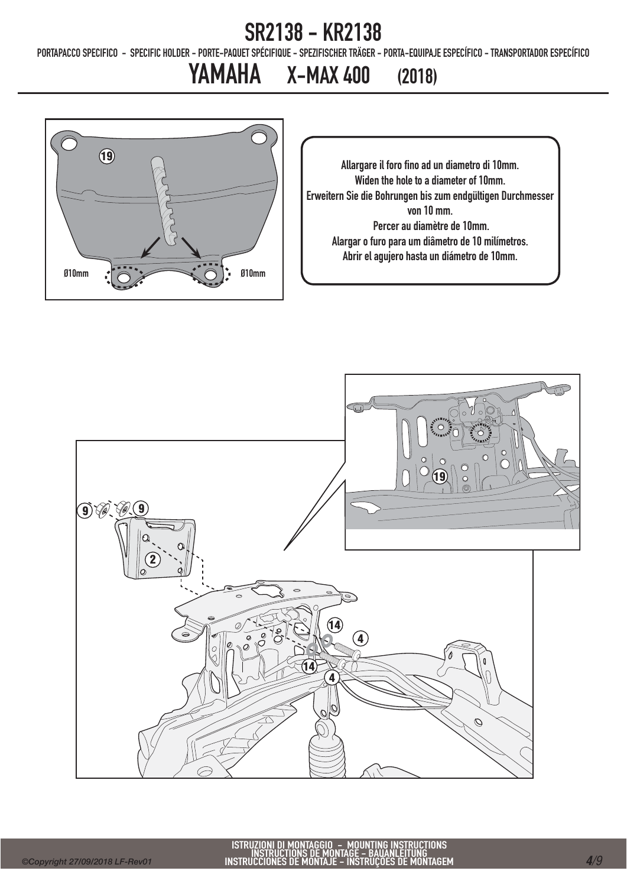PORTAPACCO SPECIFICO - SPECIFIC HOLDER - PORTE-PAQUET SPÉCIFIQUE - SPEZIFISCHER TRÄGER - PORTA-EQUIPAJE ESPECÍFICO - TRANSPORTADOR ESPECÍFICO

## YAMAHA X-MAX 400 (2018)



Allargare il foro fino ad un diametro di 10mm. Widen the hole to a diameter of 10mm. Erweitern Sie die Bohrungen bis zum endgültigen Durchmesser von 10 mm. Percer au diamètre de 10mm. Alargar o furo para um diâmetro de 10 milímetros. Abrir el agujero hasta un diámetro de 10mm.

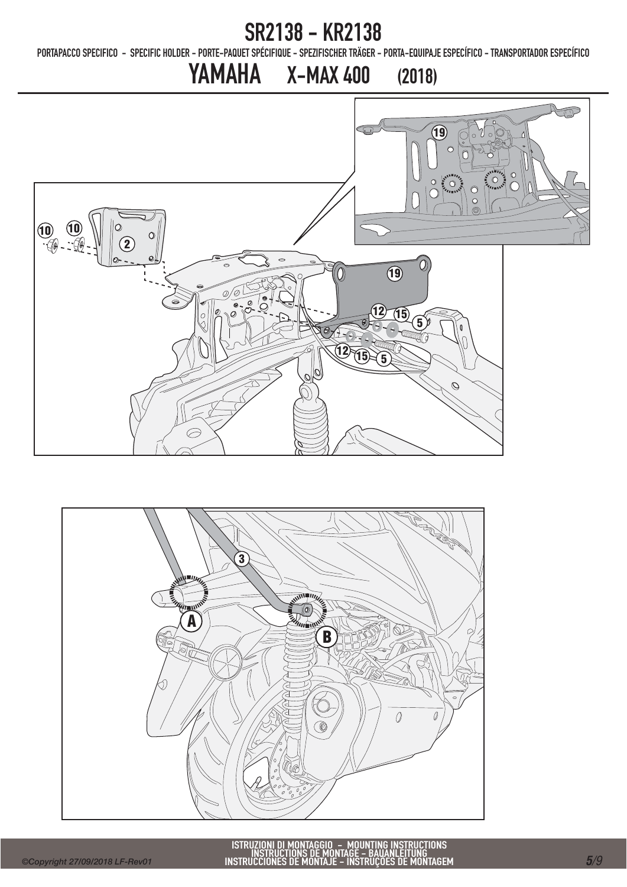PORTAPACCO SPECIFICO - SPECIFIC HOLDER - PORTE-PAQUET SPÉCIFIQUE - SPEZIFISCHER TRÄGER - PORTA-EQUIPAJE ESPECÍFICO - TRANSPORTADOR ESPECÍFICO

## YAMAHA X-MAX 400 (2018) JP 19  $\circ$ 10<br>10 - 12  $\overline{O}$ 2O, **19** 0)  $\mathcal{O}$  $\overline{15}$  $\widetilde{\mathbf{5}}$  $12\frac{1}{15}$

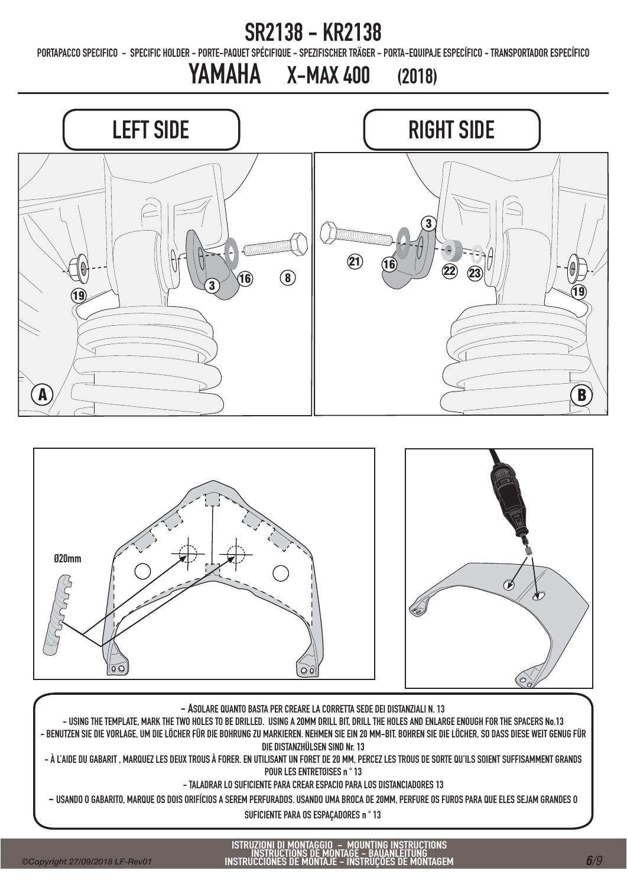# ISTRUZIONI DI MONTAGGIO – MOUNTING INSTRUCTIONS<br>INSTRUCTIONS DE MONTAGE – BAUANLEITUNG<br>INSTRUCCIONES DE MONTAJE – INSTRUÇÕES DE MONTAGEM

- BENUTZEN SIE DIE VORLAGE, UM DIE LÖCHER FÜR DIE BOHRUNG ZU MARKIEREN. NEHMEN SIE EIN 20 MM-BIT, BOHREN SIE DIE LÖCHER, SO DASS DIESE WEIT GENUG FÜR DIE DISTANZHÜLSEN SIND Nr. 13

- À L'AIDE DU GABARIT , MARQUEZ LES DEUX TROUS À FORER. EN UTILISANT UN FORET DE 20 MM, PERCEZ LES TROUS DE SORTE QU'ILS SOIENT SUFFISAMMENT GRANDS POUR LES ENTRETOISES n ° 13

- TALADRAR LO SUFICIENTE PARA CREAR ESPACIO PARA LOS DISTANCIADORES 13 - USANDO O GABARITO, MARQUE OS DOIS ORIFÍCIOS A SEREM PERFURADOS. USANDO UMA BROCA DE 20MM, PERFURE OS FUROS PARA QUE ELES SEJAM GRANDES O SUFICIENTE PARA OS ESPAÇADORES n ° 13

- USING THE TEMPLATE, MARK THE TWO HOLES TO BE DRILLED. USING A 20MM DRILL BIT, DRILL THE HOLES AND ENLARGE ENOUGH FOR THE SPACERS No.13







#### SR2138 - KR2138

PORTAPACCO SPECIFICO - SPECIFIC HOLDER - PORTE-PAQUET SPÉCIFIQUE - SPEZIFISCHER TRÄGER - PORTA-EQUIPAJE ESPECÍFICO - TRANSPORTADOR ESPECÍFICO

YAMAHA X-MAX 400 (2018)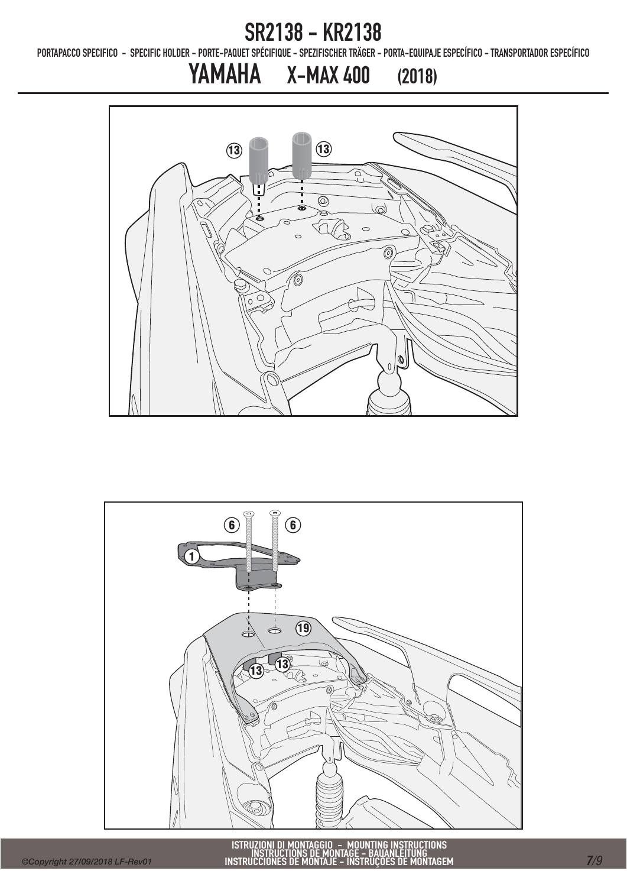PORTAPACCO SPECIFICO - SPECIFIC HOLDER - PORTE-PAQUET SPÉCIFIQUE - SPEZIFISCHER TRÄGER - PORTA-EQUIPAJE ESPECÍFICO - TRANSPORTADOR ESPECÍFICO

## YAMAHA X-MAX 400 (2018)



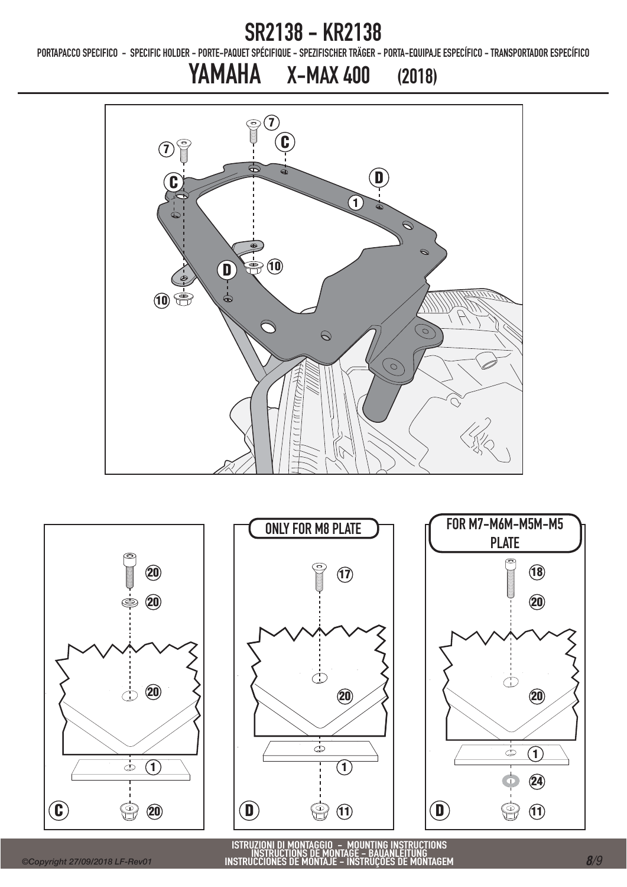PORTAPACCO SPECIFICO - SPECIFIC HOLDER - PORTE-PAQUET SPÉCIFIQUE - SPEZIFISCHER TRÄGER - PORTA-EQUIPAJE ESPECÍFICO - TRANSPORTADOR ESPECÍFICO

## YAMAHA X-MAX 400 (2018)





ISTRUZIONI DI MONTAGGIO – MOUNTING INSTRUCTIONS<br>INSTRUCTIONS DE MONTAGE – BAUANLEITUNG<br>INSTRUCCIONES DE MONTAJE – INSTRUÇÕES DE MONTAGEM